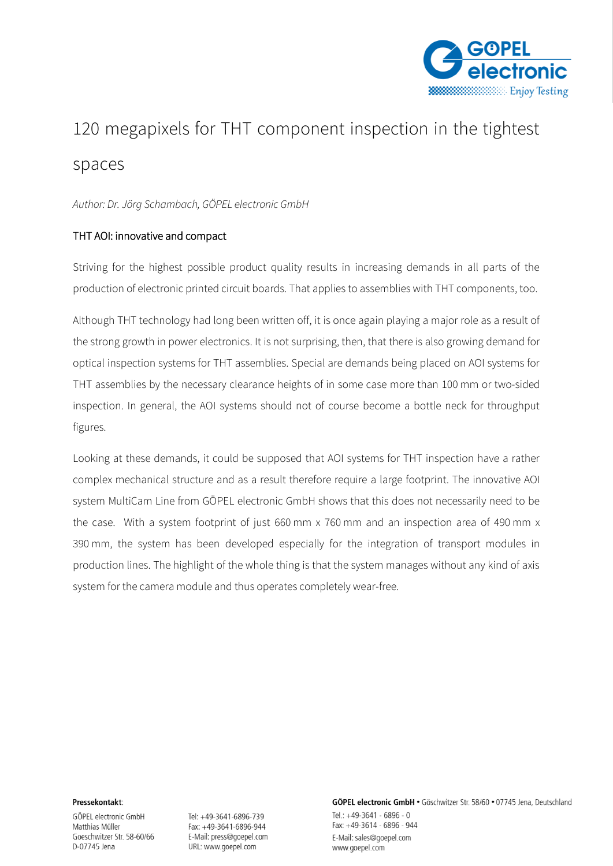

# 120 megapixels for THT component inspection in the tightest spaces

*Author: Dr. Jörg Schambach, GÖPEL electronic GmbH*

# THT AOI: innovative and compact

Striving for the highest possible product quality results in increasing demands in all parts of the production of electronic printed circuit boards. That applies to assemblies with THT components, too.

Although THT technology had long been written off, it is once again playing a major role as a result of the strong growth in power electronics. It is not surprising, then, that there is also growing demand for optical inspection systems for THT assemblies. Special are demands being placed on AOI systems for THT assemblies by the necessary clearance heights of in some case more than 100 mm or two-sided inspection. In general, the AOI systems should not of course become a bottle neck for throughput figures.

Looking at these demands, it could be supposed that AOI systems for THT inspection have a rather complex mechanical structure and as a result therefore require a large footprint. The innovative AOI system MultiCam Line from GÖPEL electronic GmbH shows that this does not necessarily need to be the case. With a system footprint of just 660 mm x 760 mm and an inspection area of 490 mm x 390 mm, the system has been developed especially for the integration of transport modules in production lines. The highlight of the whole thing is that the system manages without any kind of axis system for the camera module and thus operates completely wear-free.

#### Pressekontakt:

GÖPEL electronic GmbH Matthias Müller Goeschwitzer Str. 58-60/66 D-07745 Jena

Tel: +49-3641-6896-739 Fax: +49-3641-6896-944 E-Mail: press@goepel.com URL: www.goepel.com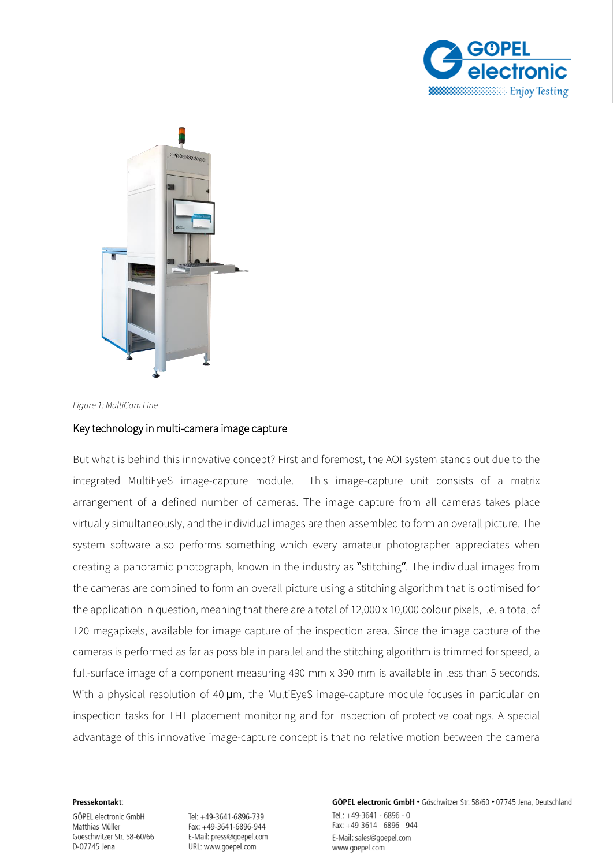



*Figure 1: MultiCam Line*

## Key technology in multi-camera image capture

But what is behind this innovative concept? First and foremost, the AOI system stands out due to the integrated MultiEyeS image-capture module. This image-capture unit consists of a matrix arrangement of a defined number of cameras. The image capture from all cameras takes place virtually simultaneously, and the individual images are then assembled to form an overall picture. The system software also performs something which every amateur photographer appreciates when creating a panoramic photograph, known in the industry as "stitching". The individual images from the cameras are combined to form an overall picture using a stitching algorithm that is optimised for the application in question, meaning that there are a total of 12,000 x 10,000 colour pixels, i.e. a total of 120 megapixels, available for image capture of the inspection area. Since the image capture of the cameras is performed as far as possible in parallel and the stitching algorithm is trimmed for speed, a full-surface image of a component measuring 490 mm x 390 mm is available in less than 5 seconds. With a physical resolution of 40  $\mu$ m, the MultiEyeS image-capture module focuses in particular on inspection tasks for THT placement monitoring and for inspection of protective coatings. A special advantage of this innovative image-capture concept is that no relative motion between the camera

#### Pressekontakt:

GÖPEL electronic GmbH Matthias Müller Goeschwitzer Str. 58-60/66 D-07745 Jena

Tel: +49-3641-6896-739 Fax: +49-3641-6896-944 E-Mail: press@goepel.com URL: www.goepel.com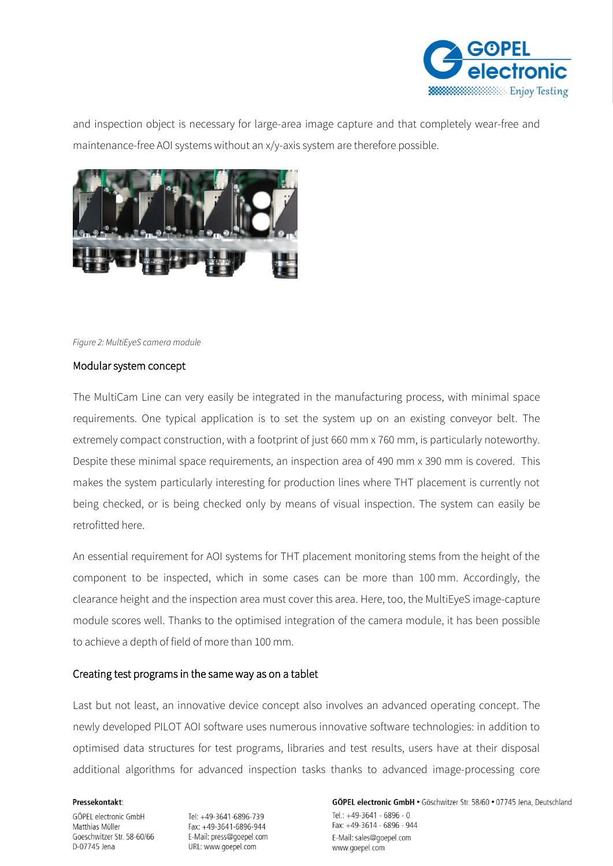

and inspection object is necessary for large-area image capture and that completely wear-free and maintenance-free AOI systems without an x/y-axis system are therefore possible.



## *Figure 2: MultiEyeS camera module*

## Modular system concept

The MultiCam Line can very easily be integrated in the manufacturing process, with minimal space requirements. One typical application is to set the system up on an existing conveyor belt. The extremely compact construction, with a footprint of just 660 mm x 760 mm, is particularly noteworthy. Despite these minimal space requirements, an inspection area of 490 mm x 390 mm is covered. This makes the system particularly interesting for production lines where THT placement is currently not being checked, or is being checked only by means of visual inspection. The system can easily be retrofitted here.

An essential requirement for AOI systems for THT placement monitoring stems from the height of the component to be inspected, which in some cases can be more than 100 mm. Accordingly, the clearance height and the inspection area must cover this area. Here, too, the MultiEyeS image-capture module scores well. Thanks to the optimised integration of the camera module, it has been possible to achieve a depth of field of more than 100 mm.

## Creating test programs in the same way as on a tablet

Last but not least, an innovative device concept also involves an advanced operating concept. The newly developed PILOT AOI software uses numerous innovative software technologies: in addition to optimised data structures for test programs, libraries and test results, users have at their disposal additional algorithms for advanced inspection tasks thanks to advanced image-processing core

#### Pressekontakt:

GÖPEL electronic GmbH Matthias Müller Goeschwitzer Str. 58-60/66 D-07745 Jena

Tel: +49-3641-6896-739 Fax: +49-3641-6896-944 E-Mail: press@goepel.com URL: www.goepel.com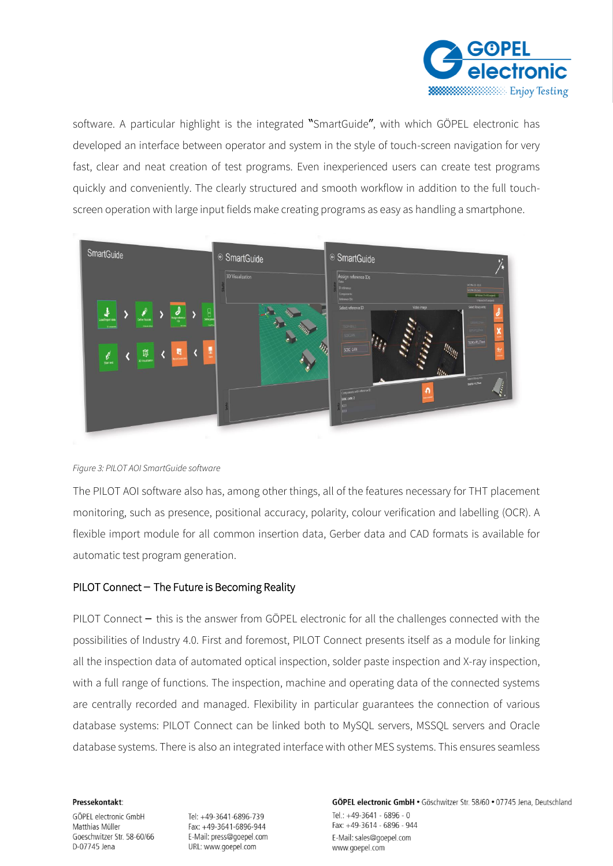

software. A particular highlight is the integrated "SmartGuide", with which GÖPEL electronic has developed an interface between operator and system in the style of touch-screen navigation for very fast, clear and neat creation of test programs. Even inexperienced users can create test programs quickly and conveniently. The clearly structured and smooth workflow in addition to the full touchscreen operation with large input fields make creating programs as easy as handling a smartphone.



## *Figure 3: PILOT AOI SmartGuide software*

The PILOT AOI software also has, among other things, all of the features necessary for THT placement monitoring, such as presence, positional accuracy, polarity, colour verification and labelling (OCR). A flexible import module for all common insertion data, Gerber data and CAD formats is available for automatic test program generation.

# PILOT Connect – The Future is Becoming Reality

PILOT Connect – this is the answer from GÖPEL electronic for all the challenges connected with the possibilities of Industry 4.0. First and foremost, PILOT Connect presents itself as a module for linking all the inspection data of automated optical inspection, solder paste inspection and X-ray inspection, with a full range of functions. The inspection, machine and operating data of the connected systems are centrally recorded and managed. Flexibility in particular guarantees the connection of various database systems: PILOT Connect can be linked both to MySQL servers, MSSQL servers and Oracle database systems. There is also an integrated interface with other MES systems. This ensures seamless

#### Pressekontakt:

GÖPEL electronic GmbH Matthias Müller Goeschwitzer Str. 58-60/66 D-07745 Jena

Tel: +49-3641-6896-739 Fax: +49-3641-6896-944 E-Mail: press@goepel.com URL: www.goepel.com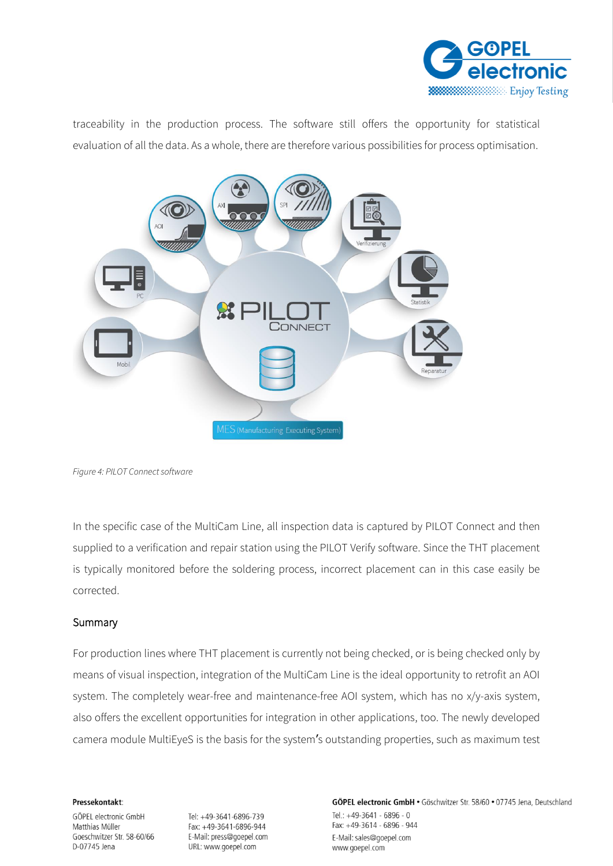

traceability in the production process. The software still offers the opportunity for statistical evaluation of all the data. As a whole, there are therefore various possibilities for process optimisation.



*Figure 4: PILOT Connect software*

In the specific case of the MultiCam Line, all inspection data is captured by PILOT Connect and then supplied to a verification and repair station using the PILOT Verify software. Since the THT placement is typically monitored before the soldering process, incorrect placement can in this case easily be corrected.

# **Summary**

For production lines where THT placement is currently not being checked, or is being checked only by means of visual inspection, integration of the MultiCam Line is the ideal opportunity to retrofit an AOI system. The completely wear-free and maintenance-free AOI system, which has no x/y-axis system, also offers the excellent opportunities for integration in other applications, too. The newly developed camera module MultiEyeS is the basis for the system's outstanding properties, such as maximum test

## Pressekontakt:

GÖPEL electronic GmbH Matthias Müller Goeschwitzer Str. 58-60/66 D-07745 Jena

Tel: +49-3641-6896-739 Fax: +49-3641-6896-944 E-Mail: press@goepel.com URL: www.goepel.com